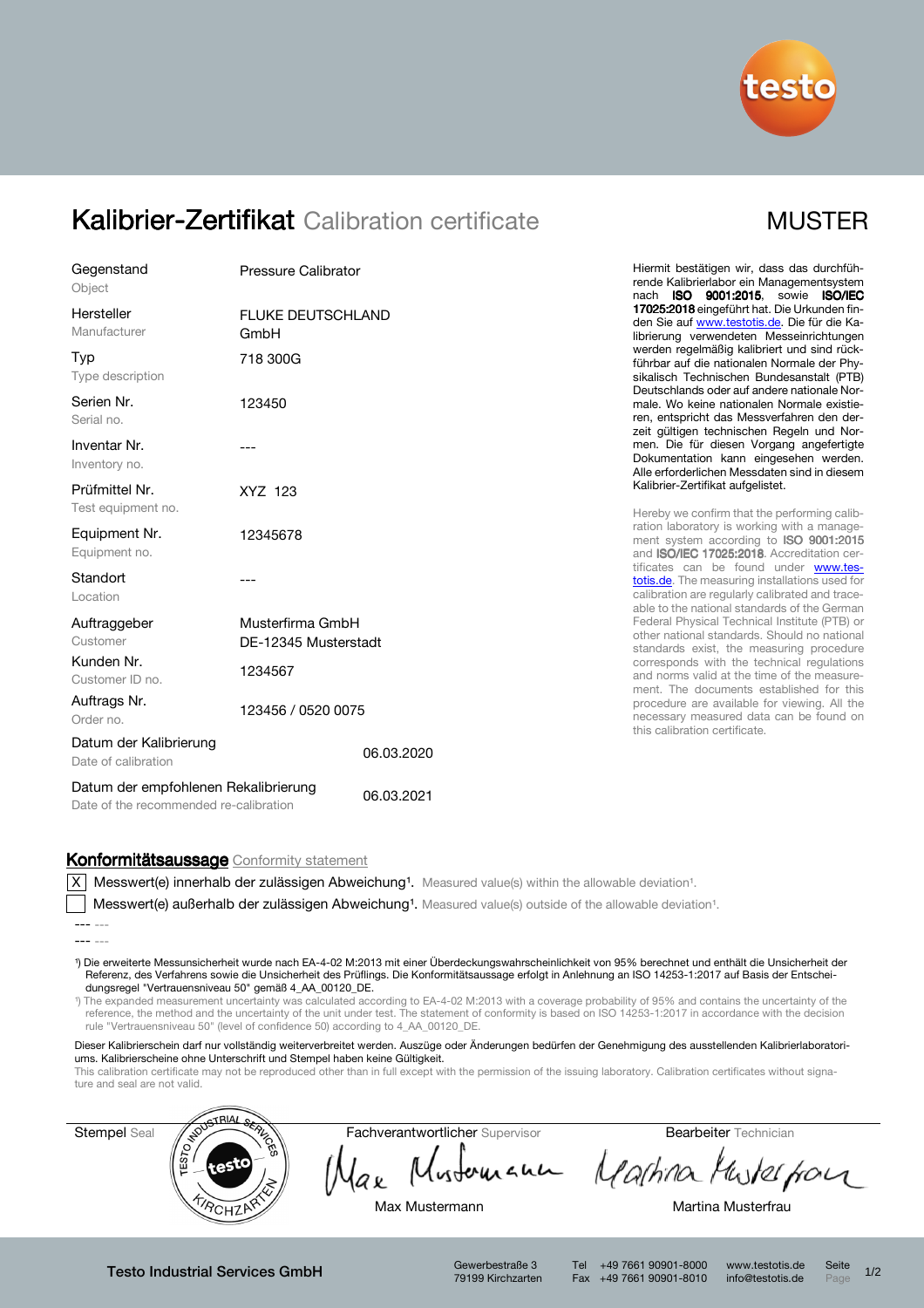

# Kalibrier-Zertifikat Calibration certificate MUSTER

| Gegenstand<br>Object                                                           | <b>Pressure Calibrator</b>               |            | Hierm<br>rende<br>nach                    |
|--------------------------------------------------------------------------------|------------------------------------------|------------|-------------------------------------------|
| Hersteller<br>Manufacturer                                                     | FLUKE DEUTSCHLAND<br>GmbH                |            | 17025<br>den S<br>librier                 |
| Typ<br>Type description                                                        | 718 300G                                 |            | werde<br>führba<br>sikalis                |
| Serien Nr.<br>Serial no.                                                       | 123450                                   |            | Deuts<br>male.<br>ren, e<br>zeit g        |
| Inventar Nr.<br>Inventory no.                                                  | ---                                      |            | men.<br>Dokur<br>Alle er                  |
| Prüfmittel Nr.<br>Test equipment no.                                           | XYZ 123                                  |            | Kalibr<br>Hereb                           |
| Equipment Nr.<br>Equipment no.                                                 | 12345678                                 |            | ration<br>ment<br>and IS                  |
| Standort<br>Location                                                           |                                          |            | tificate<br>totis.c<br>calibra<br>able to |
| Auftraggeber<br>Customer                                                       | Musterfirma GmbH<br>DE-12345 Musterstadt |            | Feder<br>other<br>standa                  |
| Kunden Nr.<br>Customer ID no.                                                  | 1234567                                  |            | corres<br>and n<br>ment.                  |
| Auftrags Nr.<br>Order no.                                                      | 123456 / 0520 0075                       |            | proce<br>neces<br>this ca                 |
| Datum der Kalibrierung<br>Date of calibration                                  |                                          | 06.03.2020 |                                           |
| Datum der empfohlenen Rekalibrierung<br>Date of the recommended re-calibration |                                          | 06.03.2021 |                                           |

it bestätigen wir, dass das durchfüh-Kalibrierlabor ein Managementsystem ISO 9001:2015, sowie ISO/IEC 1:2018 eingeführt hat. Die Urkunden finie auf www.testotis.de. Die für die Kaung verwendeten Messeinrichtungen en regelmäßig kalibriert und sind rückar auf die nationalen Normale der Physikalisch Technischen Bundesanstalt (PTB) chlands oder auf andere nationale Nor-Wo keine nationalen Normale existieentspricht das Messverfahren den derültigen technischen Regeln und Nor-Die für diesen Vorgang angefertigte mentation kann eingesehen werden. Alle erforderlichen Messdaten sind in diesem ier-Zertifikat aufgelistet.

y we confirm that the performing caliblaboratory is working with a managesystem according to ISO 9001:2015 BO/IEC 17025:2018. Accreditation ceres can be found under www.teste. The measuring installations used for ation are regularly calibrated and traceo the national standards of the German ral Physical Technical Institute (PTB) or national standards. Should no national ards exist, the measuring procedure sponds with the technical regulations orms valid at the time of the measure-The documents established for this dure are available for viewing. All the sary measured data can be found on alibration certificate.

#### Konformitätsaussage Conformity statement

 $|X|$  Messwert(e) innerhalb der zulässigen Abweichung<sup>1</sup>. Measured value(s) within the allowable deviation<sup>1</sup>.

Messwert(e) außerhalb der zulässigen Abweichung<sup>1</sup>. Measured value(s) outside of the allowable deviation<sup>1</sup>.

¹) Die erweiterte Messunsicherheit wurde nach EA-4-02 M:2013 mit einer Überdeckungswahrscheinlichkeit von 95% berechnet und enthält die Unsicherheit der Referenz, des Verfahrens sowie die Unsicherheit des Prüflings. Die Konformitätsaussage erfolgt in Anlehnung an ISO 14253-1:2017 auf Basis der Entscheidungsregel "Vertrauensniveau 50" gemäß 4\_AA\_00120\_DE.

¹) The expanded measurement uncertainty was calculated according to EA-4-02 M:2013 with a coverage probability of 95% and contains the uncertainty of the reference, the method and the uncertainty of the unit under test. The statement of conformity is based on ISO 14253-1:2017 in accordance with the decision rule "Vertrauensniveau 50" (level of confidence 50) according to 4\_AA\_00120\_DE.

Dieser Kalibrierschein darf nur vollständig weiterverbreitet werden. Auszüge oder Änderungen bedürfen der Genehmigung des ausstellenden Kalibrierlaboratoriums. Kalibrierscheine ohne Unterschrift und Stempel haben keine Gültigkeit.

This calibration certificate may not be reproduced other than in full except with the permission of the issuing laboratory. Calibration certificates without signature and seal are not valid.



Mustomann Martina Muster from

ax

Max Mustermann **Martina Musterfrau** 

Testo Industrial Services GmbH Gewerbestraße 3

79199 Kirchzarten

Tel +49 7661 90901-8000 www.testotis.de Seite 1/2 Fax +49 7661 90901-8010 info@testotis.de Page

<sup>---</sup> ---